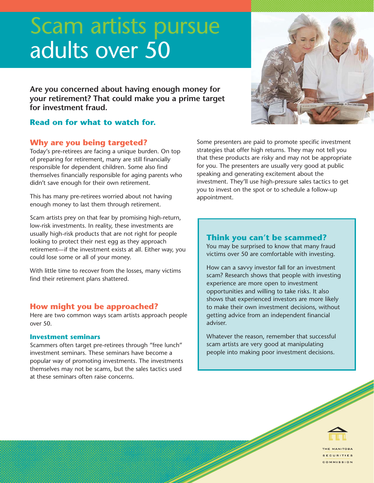# Scam artists pursue adults over 50

**Are you concerned about having enough money for your retirement? That could make you a prime target for investment fraud.**

## **Read on for what to watch for.**

## **Why are you being targeted?**

Today's pre-retirees are facing a unique burden. On top of preparing for retirement, many are still financially responsible for dependent children. Some also find themselves financially responsible for aging parents who didn't save enough for their own retirement.

This has many pre-retirees worried about not having enough money to last them through retirement.

Scam artists prey on that fear by promising high-return, low-risk investments. In reality, these investments are usually high-risk products that are not right for people looking to protect their nest egg as they approach retirement—if the investment exists at all. Either way, you could lose some or all of your money.

With little time to recover from the losses, many victims find their retirement plans shattered.

## **How might you be approached?**

Here are two common ways scam artists approach people over 50.

#### **Investment seminars**

Scammers often target pre-retirees through "free lunch" investment seminars. These seminars have become a popular way of promoting investments. The investments themselves may not be scams, but the sales tactics used at these seminars often raise concerns.

Some presenters are paid to promote specific investment strategies that offer high returns. They may not tell you that these products are risky and may not be appropriate for you. The presenters are usually very good at public speaking and generating excitement about the investment. They'll use high-pressure sales tactics to get you to invest on the spot or to schedule a follow-up appointment.

## **Think you can't be scammed?**

You may be surprised to know that many fraud victims over 50 are comfortable with investing.

How can a savvy investor fall for an investment scam? Research shows that people with investing experience are more open to investment opportunities and willing to take risks. It also shows that experienced investors are more likely to make their own investment decisions, without getting advice from an independent financial adviser.

Whatever the reason, remember that successful scam artists are very good at manipulating people into making poor investment decisions.